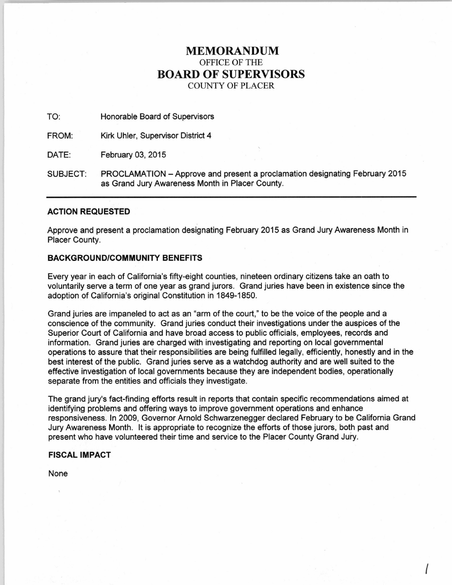# **MEMORANDUM**  OFFICE OF THE **BOARD OF SUPERVISORS**  COUNTY OF PLACER

TO: Honorable Board of Supervisors

FROM: Kirk Uhler, Supervisor District 4

DATE: February 03, 2015

SUBJECT: PROCLAMATION -Approve and present a proclamation designating February 2015 as Grand Jury Awareness Month in Placer County.

## **ACTION REQUESTED**

Approve and present a proclamation designating February 2015 as Grand Jury Awareness Month in Placer County.

### **BACKGROUND/COMMUNITY BENEFITS**

Every year in each of California's fifty-eight counties, nineteen ordinary citizens take an oath to voluntarily serve a term of one year as grand jurors. Grand juries have been in existence since the adoption of California's original Constitution in 1849-1850.

Grand juries are impaneled to act as an "arm of the court," to be the voice of the people and a conscience of the community. Grand juries conduct their investigations under the auspices of the Superior Court of California and have broad access to public officials, employees, records and information. Grand juries are charged with investigating and reporting on local governmental operations to assure that their responsibilities are being fulfilled legally, efficiently, honestly and in the best interest of the public. Grand juries serve as a watchdog authority and are well suited to the effective investigation of local governments because they are independent bodies, operationally separate from the entities and officials they investigate.

The grand jury's fact-finding efforts result in reports that contain specific recommendations aimed at identifying problems and offering ways to improve government operations and enhance responsiveness. In 2009, Governor Arnold Schwarzenegger declared February to be California Grand Jury Awareness Month. It is appropriate to recognize the efforts of those jurors, both past and present who have volunteered their time and service to the Placer County Grand Jury.

I

#### **FISCAL IMPACT**

None